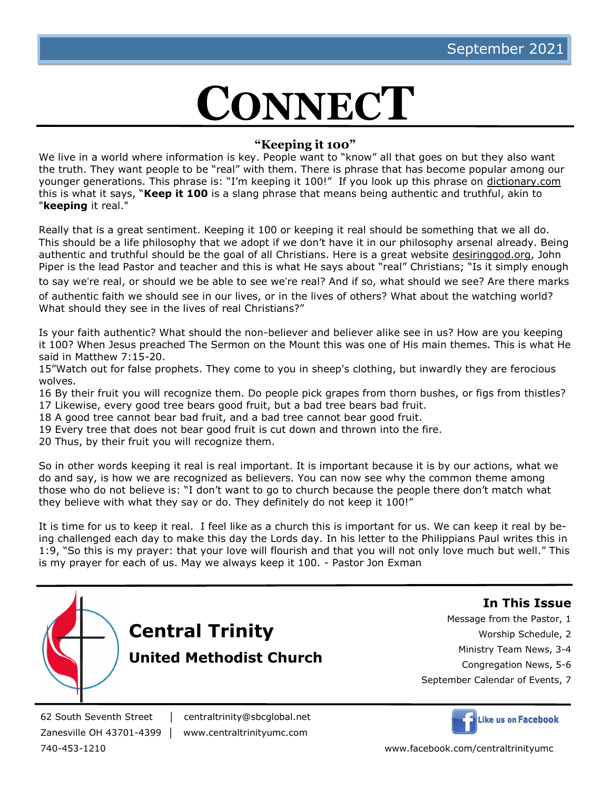# **CONNECT**

## **"Keeping it 100"**

We live in a world where information is key. People want to "know" all that goes on but they also want the truth. They want people to be "real" with them. There is phrase that has become popular among our younger generations. This phrase is: "I'm keeping it 100!" If you look up this phrase on [dictionary.com](http://dictionary.com) this is what it says, "**Keep it 100** is a slang phrase that means being authentic and truthful, akin to "**keeping** it real."

Really that is a great sentiment. Keeping it 100 or keeping it real should be something that we all do. This should be a life philosophy that we adopt if we don't have it in our philosophy arsenal already. Being authentic and truthful should be the goal of all Christians. Here is a great website [desiringgod.org,](http://desiringgod.org) John Piper is the lead Pastor and teacher and this is what He says about "real" Christians; "Is it simply enough

to say we're real, or should we be able to see we're real? And if so, what should we see? Are there marks of authentic faith we should see in our lives, or in the lives of others? What about the watching world? What should they see in the lives of real Christians?"

Is your faith authentic? What should the non-believer and believer alike see in us? How are you keeping it 100? When Jesus preached The Sermon on the Mount this was one of His main themes. This is what He said in Matthew 7:15-20.

15"Watch out for false prophets. They come to you in sheep's clothing, but inwardly they are ferocious wolves.

16 By their fruit you will recognize them. Do people pick grapes from thorn bushes, or figs from thistles? 17 Likewise, every good tree bears good fruit, but a bad tree bears bad fruit.

- 18 A good tree cannot bear bad fruit, and a bad tree cannot bear good fruit.
- 19 Every tree that does not bear good fruit is cut down and thrown into the fire.
- 20 Thus, by their fruit you will recognize them.

So in other words keeping it real is real important. It is important because it is by our actions, what we do and say, is how we are recognized as believers. You can now see why the common theme among those who do not believe is: "I don't want to go to church because the people there don't match what they believe with what they say or do. They definitely do not keep it 100!"

It is time for us to keep it real. I feel like as a church this is important for us. We can keep it real by being challenged each day to make this day the Lords day. In his letter to the Philippians Paul writes this in 1:9, "So this is my prayer: that your love will flourish and that you will not only love much but well." This is my prayer for each of us. May we always keep it 100. - Pastor Jon Exman



62 South Seventh Street │ centraltrinity@sbcglobal.net

Zanesville OH 43701-4399 │ www.centraltrinityumc.com

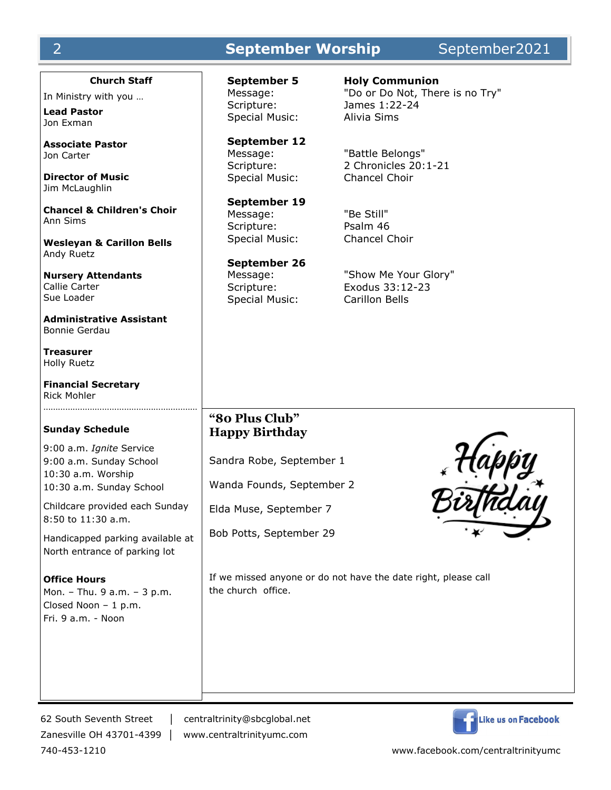# 2 **September Worship** September2021

**Church Staff**

In Ministry with you …

**Lead Pastor** Jon Exman

**Associate Pastor** Jon Carter

**Director of Music** Jim McLaughlin

**Chancel & Children's Choir** Ann Sims

**Wesleyan & Carillon Bells** Andy Ruetz

**Nursery Attendants** Callie Carter Sue Loader

**Administrative Assistant** Bonnie Gerdau

**Treasurer** Holly Ruetz

**Financial Secretary** Rick Mohler ………………………………………………………

#### **Sunday Schedule**

9:00 a.m. *Ignite* Service 9:00 a.m. Sunday School 10:30 a.m. Worship 10:30 a.m. Sunday School

Childcare provided each Sunday 8:50 to 11:30 a.m.

Handicapped parking available at North entrance of parking lot

**Office Hours** Mon. – Thu. 9 a.m. – 3 p.m. Closed Noon – 1 p.m. Fri. 9 a.m. - Noon

Special Music: Alivia Sims

**September 12** Special Music: Chancel Choir

**September 19** Message: "Be Still" Scripture: Psalm 46

**September 26**  Special Music: Carillon Bells

**September 5 Holy Communion** Message: "Do or Do Not, There is no Try" Scripture: James 1:22-24

Message: "Battle Belongs" Scripture: 2 Chronicles 20:1-21

Special Music: Chancel Choir

Message: "Show Me Your Glory" Scripture: Exodus 33:12-23

## **"80 Plus Club" Happy Birthday**

Sandra Robe, September 1

Wanda Founds, September 2

Elda Muse, September 7

Bob Potts, September 29

If we missed anyone or do not have the date right, please call the church office.

62 South Seventh Street │ centraltrinity@sbcglobal.net Zanesville OH 43701-4399 │ www.centraltrinityumc.com

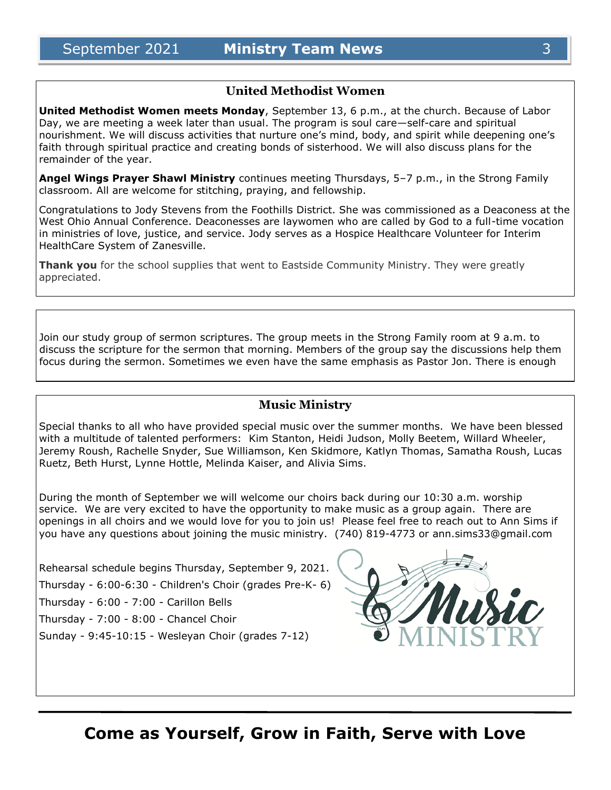#### **United Methodist Women**

**United Methodist Women meets Monday**, September 13, 6 p.m., at the church. Because of Labor Day, we are meeting a week later than usual. The program is soul care—self-care and spiritual nourishment. We will discuss activities that nurture one's mind, body, and spirit while deepening one's faith through spiritual practice and creating bonds of sisterhood. We will also discuss plans for the remainder of the year.

**Angel Wings Prayer Shawl Ministry** continues meeting Thursdays, 5–7 p.m., in the Strong Family classroom. All are welcome for stitching, praying, and fellowship.

Congratulations to Jody Stevens from the Foothills District. She was commissioned as a Deaconess at the West Ohio Annual Conference. Deaconesses are laywomen who are called by God to a full-time vocation in ministries of love, justice, and service. Jody serves as a Hospice Healthcare Volunteer for Interim HealthCare System of Zanesville.

**Thank you** for the school supplies that went to Eastside Community Ministry. They were greatly appreciated.

Join our study group of sermon scriptures. The group meets in the Strong Family room at 9 a.m. to discuss the scripture for the sermon that morning. Members of the group say the discussions help them focus during the sermon. Sometimes we even have the same emphasis as Pastor Jon. There is enough

#### **Music Ministry**

Special thanks to all who have provided special music over the summer months. We have been blessed with a multitude of talented performers: Kim Stanton, Heidi Judson, Molly Beetem, Willard Wheeler, Jeremy Roush, Rachelle Snyder, Sue Williamson, Ken Skidmore, Katlyn Thomas, Samatha Roush, Lucas Ruetz, Beth Hurst, Lynne Hottle, Melinda Kaiser, and Alivia Sims.

During the month of September we will welcome our choirs back during our 10:30 a.m. worship service. We are very excited to have the opportunity to make music as a group again. There are openings in all choirs and we would love for you to join us! Please feel free to reach out to Ann Sims if you have any questions about joining the music ministry. (740) 819-4773 or ann.sims33@gmail.com

Rehearsal schedule begins Thursday, September 9, 2021.

Thursday - 6:00-6:30 - Children's Choir (grades Pre-K- 6)

Thursday - 6:00 - 7:00 - Carillon Bells

Thursday - 7:00 - 8:00 - Chancel Choir

Sunday - 9:45-10:15 - Wesleyan Choir (grades 7-12)

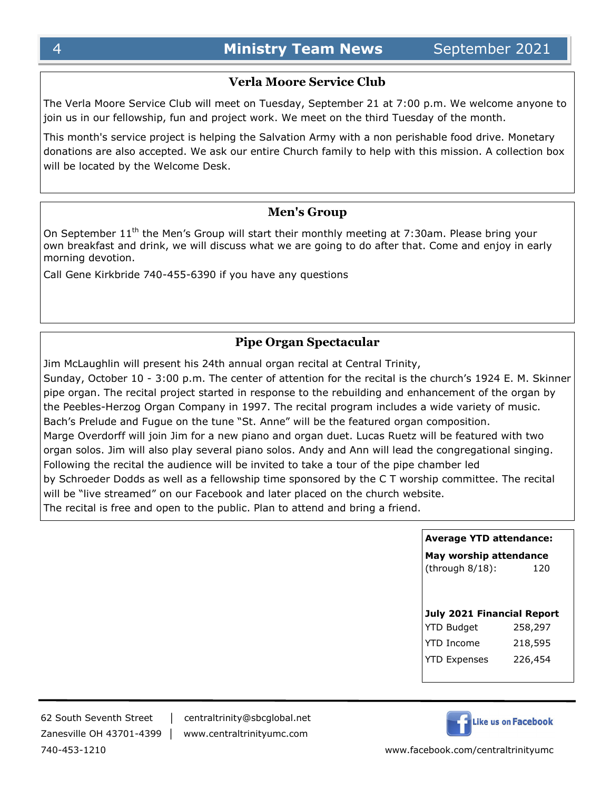## **Verla Moore Service Club**

The Verla Moore Service Club will meet on Tuesday, September 21 at 7:00 p.m. We welcome anyone to join us in our fellowship, fun and project work. We meet on the third Tuesday of the month.

This month's service project is helping the Salvation Army with a non perishable food drive. Monetary donations are also accepted. We ask our entire Church family to help with this mission. A collection box will be located by the Welcome Desk.

# **Men's Group**

On September  $11<sup>th</sup>$  the Men's Group will start their monthly meeting at 7:30am. Please bring your own breakfast and drink, we will discuss what we are going to do after that. Come and enjoy in early morning devotion.

Call Gene Kirkbride 740-455-6390 if you have any questions

# **Pipe Organ Spectacular**

Jim McLaughlin will present his 24th annual organ recital at Central Trinity, Sunday, October 10 - 3:00 p.m. The center of attention for the recital is the church's 1924 E. M. Skinner pipe organ. The recital project started in response to the rebuilding and enhancement of the organ by the Peebles-Herzog Organ Company in 1997. The recital program includes a wide variety of music. Bach's Prelude and Fugue on the tune "St. Anne" will be the featured organ composition. Marge Overdorff will join Jim for a new piano and organ duet. Lucas Ruetz will be featured with two organ solos. Jim will also play several piano solos. Andy and Ann will lead the congregational singing. Following the recital the audience will be invited to take a tour of the pipe chamber led by Schroeder Dodds as well as a fellowship time sponsored by the C T worship committee. The recital will be "live streamed" on our Facebook and later placed on the church website. The recital is free and open to the public. Plan to attend and bring a friend.

|  | <b>Average YTD attendance:</b><br>May worship attendance |         |  |
|--|----------------------------------------------------------|---------|--|
|  |                                                          |         |  |
|  | (through 8/18):                                          | 120     |  |
|  |                                                          |         |  |
|  |                                                          |         |  |
|  | <b>July 2021 Financial Report</b>                        |         |  |
|  | <b>YTD Budget</b>                                        | 258,297 |  |
|  | <b>YTD Income</b>                                        | 218,595 |  |
|  | <b>YTD Expenses</b>                                      | 226,454 |  |

Like us on Facebook

62 South Seventh Street │ centraltrinity@sbcglobal.net Zanesville OH 43701-4399 │ www.centraltrinityumc.com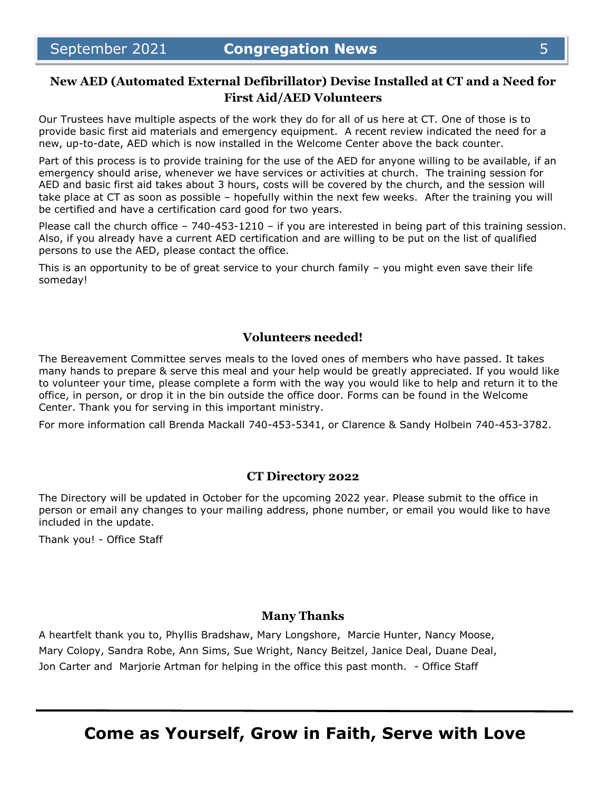# **New AED (Automated External Defibrillator) Devise Installed at CT and a Need for First Aid/AED Volunteers**

Our Trustees have multiple aspects of the work they do for all of us here at CT. One of those is to provide basic first aid materials and emergency equipment. A recent review indicated the need for a new, up-to-date, AED which is now installed in the Welcome Center above the back counter.

Part of this process is to provide training for the use of the AED for anyone willing to be available, if an emergency should arise, whenever we have services or activities at church. The training session for AED and basic first aid takes about 3 hours, costs will be covered by the church, and the session will take place at CT as soon as possible – hopefully within the next few weeks. After the training you will be certified and have a certification card good for two years.

Please call the church office – 740-453-1210 – if you are interested in being part of this training session. Also, if you already have a current AED certification and are willing to be put on the list of qualified persons to use the AED, please contact the office.

This is an opportunity to be of great service to your church family – you might even save their life someday!

#### **Volunteers needed!**

The Bereavement Committee serves meals to the loved ones of members who have passed. It takes many hands to prepare & serve this meal and your help would be greatly appreciated. If you would like to volunteer your time, please complete a form with the way you would like to help and return it to the office, in person, or drop it in the bin outside the office door. Forms can be found in the Welcome Center. Thank you for serving in this important ministry.

For more information call Brenda Mackall 740-453-5341, or Clarence & Sandy Holbein 740-453-3782.

#### **CT Directory 2022**

The Directory will be updated in October for the upcoming 2022 year. Please submit to the office in person or email any changes to your mailing address, phone number, or email you would like to have included in the update.

Thank you! - Office Staff

### **Many Thanks**

A heartfelt thank you to, Phyllis Bradshaw, Mary Longshore, Marcie Hunter, Nancy Moose, Mary Colopy, Sandra Robe, Ann Sims, Sue Wright, Nancy Beitzel, Janice Deal, Duane Deal, Jon Carter and Marjorie Artman for helping in the office this past month. - Office Staff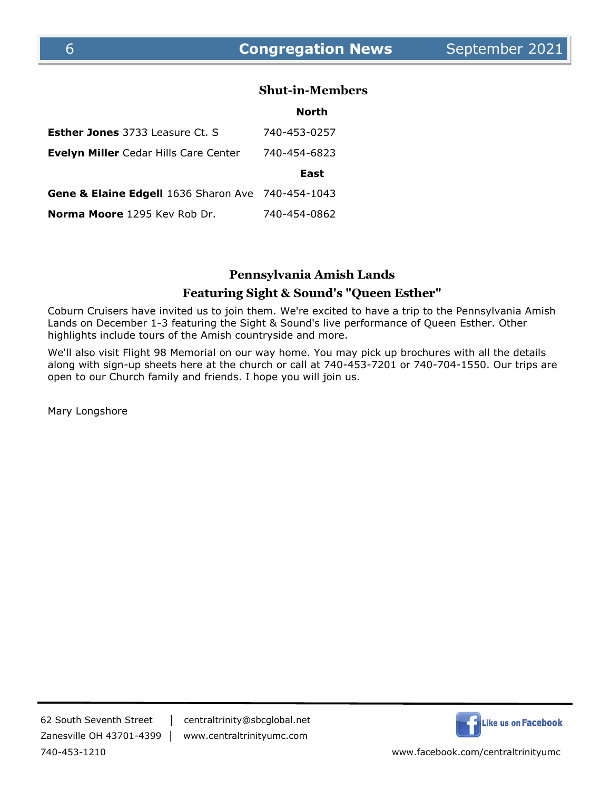#### **Shut-in-Members**

|                                                   | <b>North</b> |
|---------------------------------------------------|--------------|
| Esther Jones 3733 Leasure Ct. S                   | 740-453-0257 |
| <b>Evelyn Miller</b> Cedar Hills Care Center      | 740-454-6823 |
|                                                   | East         |
| Gene & Elaine Edgell 1636 Sharon Ave 740-454-1043 |              |
| Norma Moore 1295 Kev Rob Dr.                      | 740-454-0862 |

# **Pennsylvania Amish Lands**

#### **Featuring Sight & Sound's "Queen Esther"**

Coburn Cruisers have invited us to join them. We're excited to have a trip to the Pennsylvania Amish Lands on December 1-3 featuring the Sight & Sound's live performance of Queen Esther. Other highlights include tours of the Amish countryside and more.

We'll also visit Flight 98 Memorial on our way home. You may pick up brochures with all the details along with sign-up sheets here at the church or call at 740-453-7201 or 740-704-1550. Our trips are open to our Church family and friends. I hope you will join us.

Mary Longshore

62 South Seventh Street │ centraltrinity@sbcglobal.net Zanesville OH 43701-4399 │ www.centraltrinityumc.com

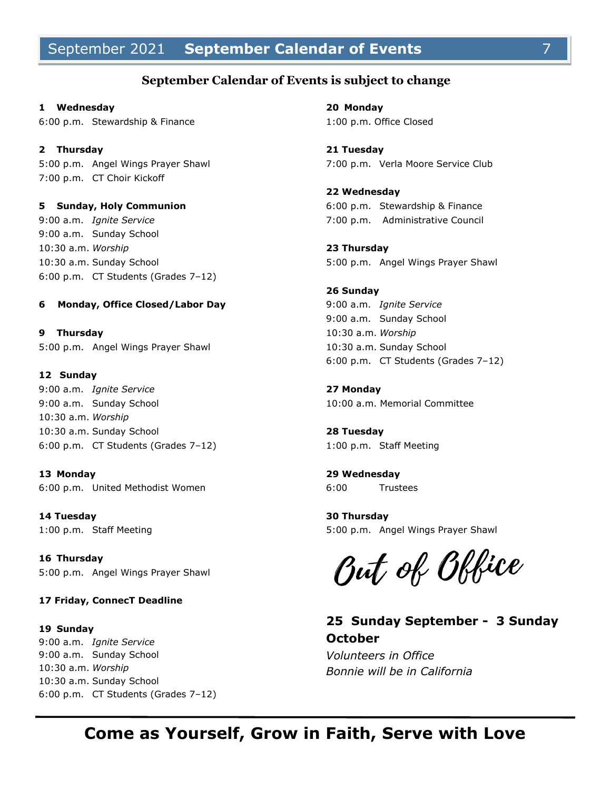# September 2021 **September Calendar of Events** 7

#### **September Calendar of Events is subject to change**

**1 Wednesday** 6:00 p.m. Stewardship & Finance

**2 Thursday** 5:00 p.m. Angel Wings Prayer Shawl 7:00 p.m. CT Choir Kickoff

**5 Sunday, Holy Communion** 9:00 a.m. *Ignite Service* 9:00 a.m. Sunday School 10:30 a.m. *Worship*  10:30 a.m. Sunday School 6:00 p.m. CT Students (Grades 7–12)

#### **6 Monday, Office Closed/Labor Day**

**9 Thursday** 5:00 p.m. Angel Wings Prayer Shawl

#### **12 Sunday**

9:00 a.m. *Ignite Service* 9:00 a.m. Sunday School 10:30 a.m. *Worship*  10:30 a.m. Sunday School 6:00 p.m. CT Students (Grades 7–12)

**13 Monday** 6:00 p.m. United Methodist Women

**14 Tuesday** 1:00 p.m. Staff Meeting

**16 Thursday** 5:00 p.m. Angel Wings Prayer Shawl

**17 Friday, ConnecT Deadline**

**19 Sunday** 9:00 a.m. *Ignite Service* 9:00 a.m. Sunday School 10:30 a.m. *Worship*  10:30 a.m. Sunday School 6:00 p.m. CT Students (Grades 7–12) **20 Monday** 1:00 p.m. Office Closed

**21 Tuesday** 7:00 p.m. Verla Moore Service Club

**22 Wednesday** 6:00 p.m. Stewardship & Finance 7:00 p.m. Administrative Council

**23 Thursday** 5:00 p.m. Angel Wings Prayer Shawl

**26 Sunday** 9:00 a.m. *Ignite Service* 9:00 a.m. Sunday School 10:30 a.m. *Worship*  10:30 a.m. Sunday School 6:00 p.m. CT Students (Grades 7–12)

**27 Monday** 10:00 a.m. Memorial Committee

**28 Tuesday** 1:00 p.m. Staff Meeting

**29 Wednesday** 6:00 Trustees

**30 Thursday** 5:00 p.m. Angel Wings Prayer Shawl

But of Office

**25 Sunday September - 3 Sunday October**  *Volunteers in Office Bonnie will be in California*